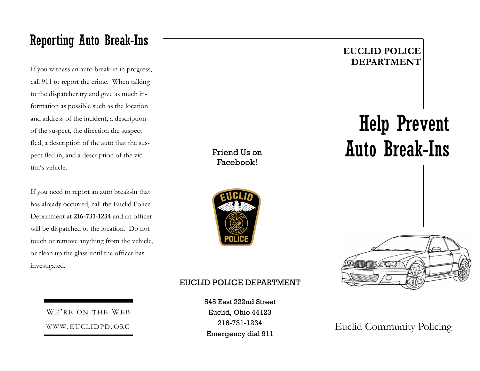## Reporting Auto Break-Ins

If you witness an auto break-in in progress, call 911 to report the crime. When talking to the dispatcher try and give as much information as possible such as the location and address of the incident, a description of the suspect, the direction the suspect fled, a description of the auto that the suspect fled in, and a description of the victim's vehicle.

If you need to report an auto break-in that has already occurred, call the Euclid Police Department at **216-731-1234** and an officer will be dispatched to the location. Do not touch or remove anything from the vehicle, or clean up the glass until the officer has investigated.

#### Friend Us on Facebook!



#### EUCLID POLICE DEPARTMENT

545 East 222nd Street Euclid, Ohio 44123 216-731-1234 Emergency dial 911

#### **EUCLID POLICE DEPARTMENT**

# Help Prevent Auto Break-Ins



WE'RE ON THE WEB WWW.EUCLIDPD.ORG